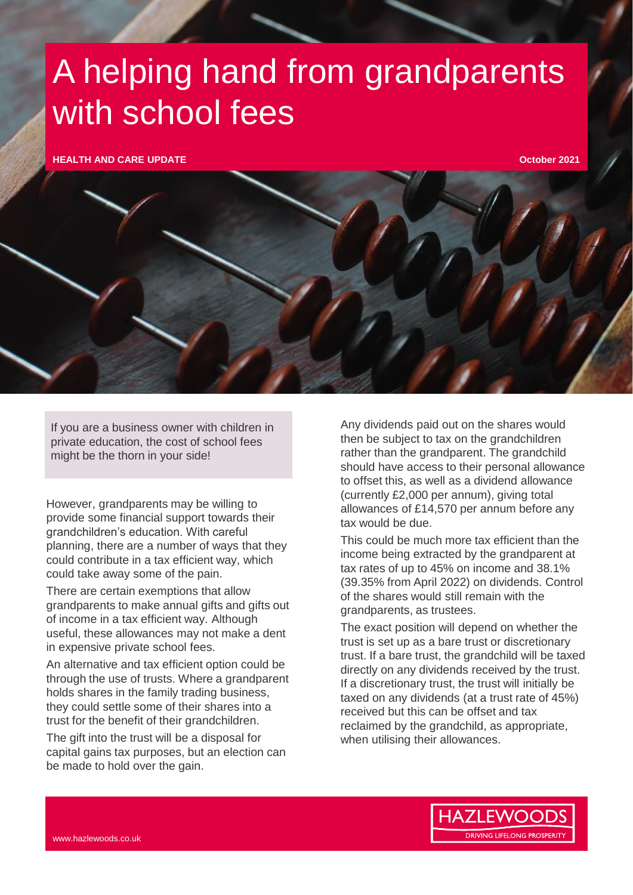## A helping hand from grandparents with school fees

**HEALTH AND CARE UPDATE**

**October 2021**

If you are a business owner with children in private education, the cost of school fees might be the thorn in your side!

However, grandparents may be willing to provide some financial support towards their grandchildren's education. With careful planning, there are a number of ways that they could contribute in a tax efficient way, which could take away some of the pain.

There are certain exemptions that allow grandparents to make annual gifts and gifts out of income in a tax efficient way. Although useful, these allowances may not make a dent in expensive private school fees.

An alternative and tax efficient option could be through the use of trusts. Where a grandparent holds shares in the family trading business, they could settle some of their shares into a trust for the benefit of their grandchildren.

The gift into the trust will be a disposal for capital gains tax purposes, but an election can be made to hold over the gain.

Any dividends paid out on the shares would then be subject to tax on the grandchildren rather than the grandparent. The grandchild should have access to their personal allowance to offset this, as well as a dividend allowance (currently £2,000 per annum), giving total allowances of £14,570 per annum before any tax would be due.

This could be much more tax efficient than the income being extracted by the grandparent at tax rates of up to 45% on income and 38.1% (39.35% from April 2022) on dividends. Control of the shares would still remain with the grandparents, as trustees.

The exact position will depend on whether the trust is set up as a bare trust or discretionary trust. If a bare trust, the grandchild will be taxed directly on any dividends received by the trust. If a discretionary trust, the trust will initially be taxed on any dividends (at a trust rate of 45%) received but this can be offset and tax reclaimed by the grandchild, as appropriate, when utilising their allowances.